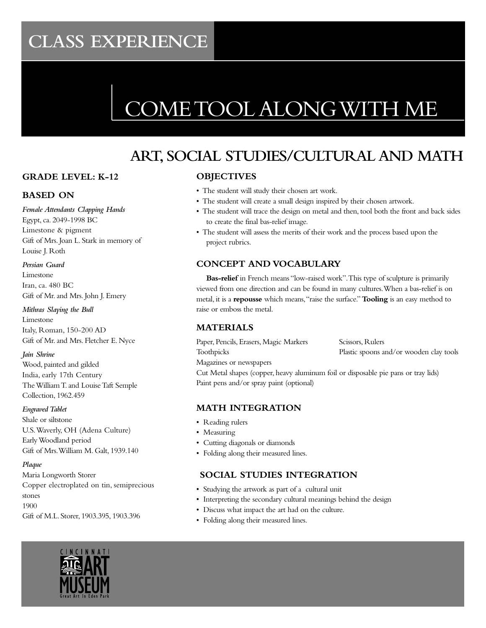# CLASS EXPEDIEN **CLASS EXPERIENCE**

# COME TOOL ALONG WITH ME

# **ART, SOCIAL STUDIES/CULTURAL AND MATH**

# **GRADE LEVEL: K-12**

# **BASED ON**

*Female Attendants Clapping Hands* Egypt, ca. 2049-1998 BC Limestone & pigment Gift of Mrs. Joan L. Stark in memory of Louise J. Roth

#### *Persian Guard*

Limestone Iran, ca. 480 BC Gift of Mr. and Mrs. John J. Emery

#### *Mithras Slaying the Bull*

Limestone Italy, Roman, 150-200 AD Gift of Mr. and Mrs. Fletcher E. Nyce

#### *Jain Shrine*

Wood, painted and gilded India, early 17th Century The William T. and Louise Taft Semple Collection, 1962.459

#### *Engraved Tablet*

Shale or siltstone U.S. Waverly, OH (Adena Culture) Early Woodland period Gift of Mrs. William M. Galt, 1939.140

## *Plaque*

Maria Longworth Storer Copper electroplated on tin, semiprecious stones 1900 Gift of M.L. Storer, 1903.395, 1903.396

# **OBJECTIVES**

- The student will study their chosen art work.
- The student will create a small design inspired by their chosen artwork.
- The student will trace the design on metal and then, tool both the front and back sides to create the final bas-relief image.
- The student will assess the merits of their work and the process based upon the project rubrics.

# **CONCEPT AND VOCABULARY**

**Bas-relief** in French means "low-raised work". This type of sculpture is primarily viewed from one direction and can be found in many cultures. When a bas-relief is on metal, it is a **repousse** which means, "raise the surface." **Tooling** is an easy method to raise or emboss the metal.

# **MATERIALS**

Paper, Pencils, Erasers, Magic Markers Scissors, Rulers

Toothpicks Plastic spoons and/or wooden clay tools

Magazines or newspapers

Cut Metal shapes (copper, heavy aluminum foil or disposable pie pans or tray lids) Paint pens and/or spray paint (optional)

# **MATH INTEGRATION**

- Reading rulers
- Measuring
- Cutting diagonals or diamonds
- Folding along their measured lines.

# **SOCIAL STUDIES INTEGRATION**

- Studying the artwork as part of a cultural unit
- Interpreting the secondary cultural meanings behind the design
- Discuss what impact the art had on the culture.
- Folding along their measured lines.